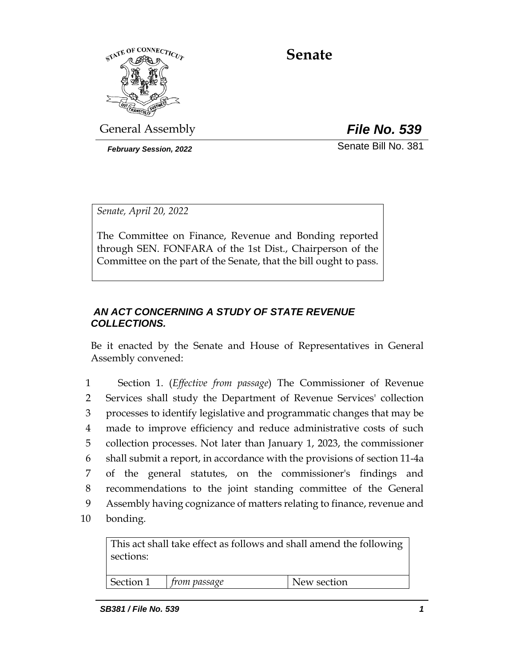

# **Senate**

General Assembly *File No. 539*

*February Session, 2022* Senate Bill No. 381

*Senate, April 20, 2022*

The Committee on Finance, Revenue and Bonding reported through SEN. FONFARA of the 1st Dist., Chairperson of the Committee on the part of the Senate, that the bill ought to pass.

## *AN ACT CONCERNING A STUDY OF STATE REVENUE COLLECTIONS.*

Be it enacted by the Senate and House of Representatives in General Assembly convened:

 Section 1. (*Effective from passage*) The Commissioner of Revenue Services shall study the Department of Revenue Services' collection processes to identify legislative and programmatic changes that may be made to improve efficiency and reduce administrative costs of such collection processes. Not later than January 1, 2023, the commissioner shall submit a report, in accordance with the provisions of section 11-4a of the general statutes, on the commissioner's findings and recommendations to the joint standing committee of the General Assembly having cognizance of matters relating to finance, revenue and

10 bonding.

This act shall take effect as follows and shall amend the following sections:

Section 1 *from passage* New section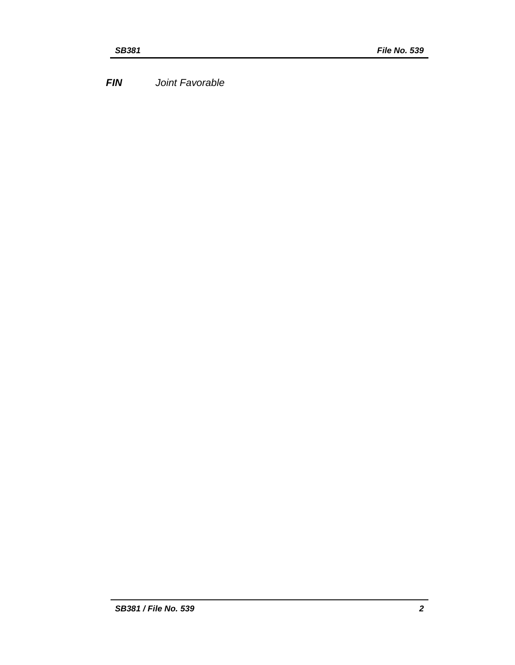*FIN Joint Favorable*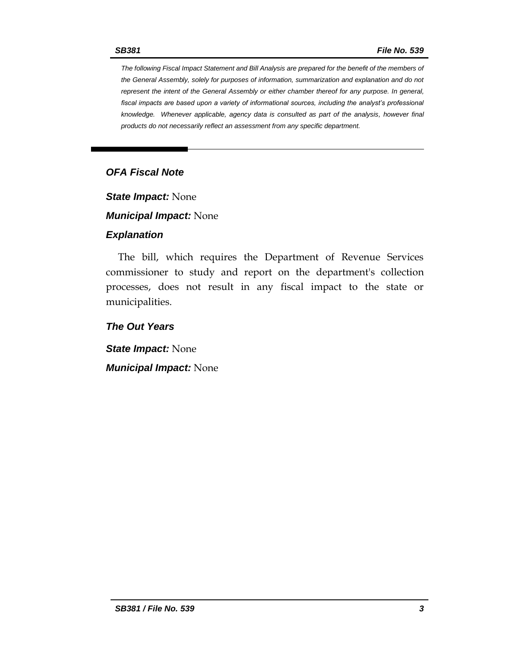*The following Fiscal Impact Statement and Bill Analysis are prepared for the benefit of the members of the General Assembly, solely for purposes of information, summarization and explanation and do not represent the intent of the General Assembly or either chamber thereof for any purpose. In general,*  fiscal impacts are based upon a variety of informational sources, including the analyst's professional *knowledge. Whenever applicable, agency data is consulted as part of the analysis, however final products do not necessarily reflect an assessment from any specific department.*

#### *OFA Fiscal Note*

*State Impact:* None

*Municipal Impact:* None

#### *Explanation*

The bill, which requires the Department of Revenue Services commissioner to study and report on the department's collection processes, does not result in any fiscal impact to the state or municipalities.

*The Out Years*

*State Impact:* None *Municipal Impact:* None